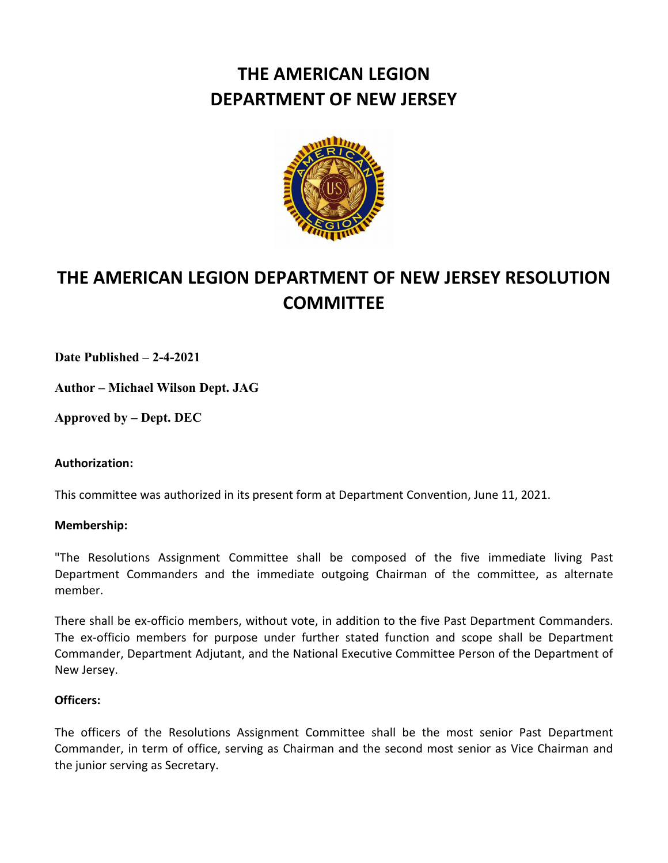# **THE AMERICAN LEGION DEPARTMENT OF NEW JERSEY**



# **THE AMERICAN LEGION DEPARTMENT OF NEW JERSEY RESOLUTION COMMITTEE**

**Date Published – 2-4-2021**

**Author – Michael Wilson Dept. JAG**

**Approved by – Dept. DEC**

# **Authorization:**

This committee was authorized in its present form at Department Convention, June 11, 2021.

# **Membership:**

"The Resolutions Assignment Committee shall be composed of the five immediate living Past Department Commanders and the immediate outgoing Chairman of the committee, as alternate member.

There shall be ex-officio members, without vote, in addition to the five Past Department Commanders. The ex-officio members for purpose under further stated function and scope shall be Department Commander, Department Adjutant, and the National Executive Committee Person of the Department of New Jersey.

# **Officers:**

The officers of the Resolutions Assignment Committee shall be the most senior Past Department Commander, in term of office, serving as Chairman and the second most senior as Vice Chairman and the junior serving as Secretary.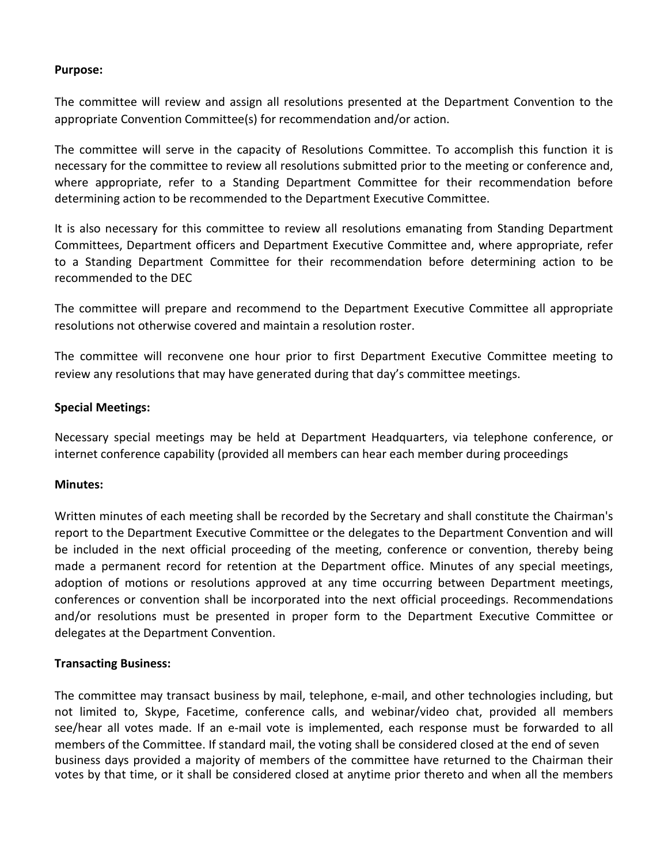## **Purpose:**

The committee will review and assign all resolutions presented at the Department Convention to the appropriate Convention Committee(s) for recommendation and/or action.

The committee will serve in the capacity of Resolutions Committee. To accomplish this function it is necessary for the committee to review all resolutions submitted prior to the meeting or conference and, where appropriate, refer to a Standing Department Committee for their recommendation before determining action to be recommended to the Department Executive Committee.

It is also necessary for this committee to review all resolutions emanating from Standing Department Committees, Department officers and Department Executive Committee and, where appropriate, refer to a Standing Department Committee for their recommendation before determining action to be recommended to the DEC

The committee will prepare and recommend to the Department Executive Committee all appropriate resolutions not otherwise covered and maintain a resolution roster.

The committee will reconvene one hour prior to first Department Executive Committee meeting to review any resolutions that may have generated during that day's committee meetings.

## **Special Meetings:**

Necessary special meetings may be held at Department Headquarters, via telephone conference, or internet conference capability (provided all members can hear each member during proceedings

## **Minutes:**

Written minutes of each meeting shall be recorded by the Secretary and shall constitute the Chairman's report to the Department Executive Committee or the delegates to the Department Convention and will be included in the next official proceeding of the meeting, conference or convention, thereby being made a permanent record for retention at the Department office. Minutes of any special meetings, adoption of motions or resolutions approved at any time occurring between Department meetings, conferences or convention shall be incorporated into the next official proceedings. Recommendations and/or resolutions must be presented in proper form to the Department Executive Committee or delegates at the Department Convention.

## **Transacting Business:**

The committee may transact business by mail, telephone, e-mail, and other technologies including, but not limited to, Skype, Facetime, conference calls, and webinar/video chat, provided all members see/hear all votes made. If an e-mail vote is implemented, each response must be forwarded to all members of the Committee. If standard mail, the voting shall be considered closed at the end of seven business days provided a majority of members of the committee have returned to the Chairman their votes by that time, or it shall be considered closed at anytime prior thereto and when all the members